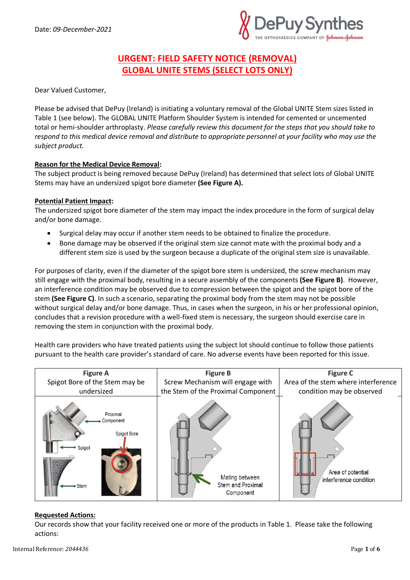

# **URGENT: FIELD SAFETY NOTICE (REMOVAL) GLOBAL UNITE STEMS (SELECT LOTS ONLY)**

Dear Valued Customer,

Please be advised that DePuy (Ireland) is initiating a voluntary removal of the Global UNITE Stem sizes listed in Table 1 (see below). The GLOBAL UNITE Platform Shoulder System is intended for cemented or uncemented total or hemi-shoulder arthroplasty. *Please carefully review this document for the steps that you should take to respond to this medical device removal and distribute to appropriate personnel at your facility who may use the subject product.*

## **Reason for the Medical Device Removal:**

The subject product is being removed because DePuy (Ireland) has determined that select lots of Global UNITE Stems may have an undersized spigot bore diameter **(See Figure A).**

#### **Potential Patient Impact:**

The undersized spigot bore diameter of the stem may impact the index procedure in the form of surgical delay and/or bone damage.

- Surgical delay may occur if another stem needs to be obtained to finalize the procedure.
- Bone damage may be observed if the original stem size cannot mate with the proximal body and a different stem size is used by the surgeon because a duplicate of the original stem size is unavailable.

For purposes of clarity, even if the diameter of the spigot bore stem is undersized, the screw mechanism may still engage with the proximal body, resulting in a secure assembly of the components **(See Figure B)**. However, an interference condition may be observed due to compression between the spigot and the spigot bore of the stem **(See Figure C)**. In such a scenario, separating the proximal body from the stem may not be possible without surgical delay and/or bone damage. Thus, in cases when the surgeon, in his or her professional opinion, concludes that a revision procedure with a well-fixed stem is necessary, the surgeon should exercise care in removing the stem in conjunction with the proximal body.

Health care providers who have treated patients using the subject lot should continue to follow those patients pursuant to the health care provider's standard of care. No adverse events have been reported for this issue.



#### **Requested Actions:**

Our records show that your facility received one or more of the products in Table 1. Please take the following actions: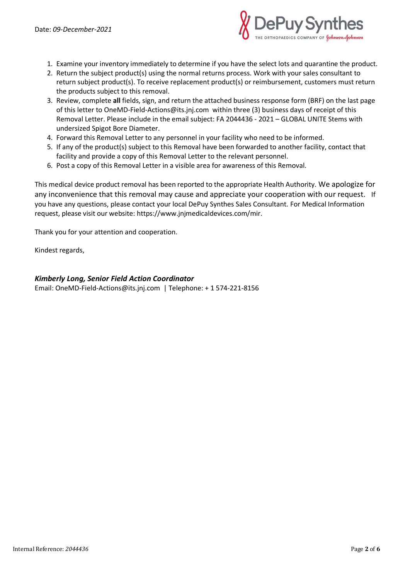

- 1. Examine your inventory immediately to determine if you have the select lots and quarantine the product.
- 2. Return the subject product(s) using the normal returns process. Work with your sales consultant to return subject product(s). To receive replacement product(s) or reimbursement, customers must return the products subject to this removal.
- 3. Review, complete **all** fields, sign, and return the attached business response form (BRF) on the last page of this letter to [OneMD-Field-Actions@its.jnj.com](mailto:OneMD-Field-Actions@its.jnj.com) within three (3) business days of receipt of this Removal Letter. Please include in the email subject: FA 2044436 - 2021 – GLOBAL UNITE Stems with undersized Spigot Bore Diameter.
- 4. Forward this Removal Letter to any personnel in your facility who need to be informed.
- 5. If any of the product(s) subject to this Removal have been forwarded to another facility, contact that facility and provide a copy of this Removal Letter to the relevant personnel.
- 6. Post a copy of this Removal Letter in a visible area for awareness of this Removal.

This medical device product removal has been reported to the appropriate Health Authority. We apologize for any inconvenience that this removal may cause and appreciate your cooperation with our request. If you have any questions, please contact your local DePuy Synthes Sales Consultant. For Medical Information request, please visit our website[: https://www.jnjmedicaldevices.com/mir.](https://www.jnjmedicaldevices.com/mir)

Thank you for your attention and cooperation.

Kindest regards,

*Kimberly Long, Senior Field Action Coordinator*

Email[: OneMD-Field-Actions@its.jnj.com](mailto:OneMD-Field-Actions@its.jnj.com) | Telephone: + 1 574-221-8156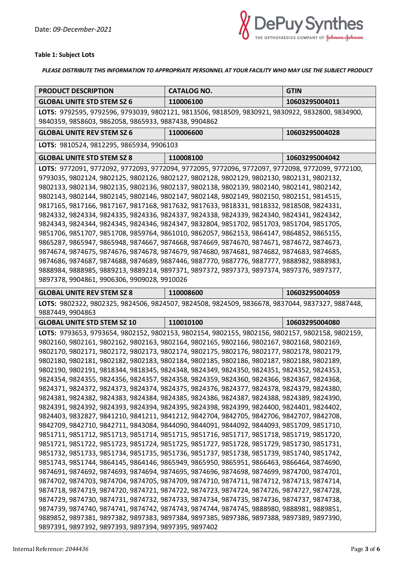

## **Table 1: Subject Lots**

*PLEASE DISTRIBUTE THIS INFORMATION TO APPROPRIATE PERSONNEL AT YOUR FACILITY WHO MAY USE THE SUBJECT PRODUCT*

| <b>PRODUCT DESCRIPTION</b>                                                                                                                                                             | <b>CATALOG NO.</b>                                                                        | <b>GTIN</b>    |
|----------------------------------------------------------------------------------------------------------------------------------------------------------------------------------------|-------------------------------------------------------------------------------------------|----------------|
| <b>GLOBAL UNITE STD STEM SZ 6</b>                                                                                                                                                      | 110006100                                                                                 | 10603295004011 |
| LOTS: 9792595, 9792596, 9793039, 9802121, 9813506, 9818509, 9830921, 9830922, 9832800, 9834900,                                                                                        |                                                                                           |                |
| 9840359, 9858603, 9862058, 9865933, 9887438, 9904862                                                                                                                                   |                                                                                           |                |
| <b>GLOBAL UNITE REV STEM SZ 6</b>                                                                                                                                                      | 110006600                                                                                 | 10603295004028 |
| LOTS: 9810524, 9812295, 9865934, 9906103                                                                                                                                               |                                                                                           |                |
| <b>GLOBAL UNITE STD STEM SZ 8</b>                                                                                                                                                      | 110008100                                                                                 | 10603295004042 |
| LOTS: 9772091, 9772092, 9772093, 9772094, 9772095, 9772096, 9772097, 9772098, 9772099, 9772100,                                                                                        |                                                                                           |                |
| 9793035, 9802124, 9802125, 9802126, 9802127, 9802128, 9802129, 9802130, 9802131, 9802132,                                                                                              |                                                                                           |                |
| 9802133, 9802134, 9802135, 9802136, 9802137, 9802138, 9802139, 9802140, 9802141, 9802142,                                                                                              |                                                                                           |                |
| 9802143, 9802144, 9802145, 9802146, 9802147, 9802148, 9802149, 9802150, 9802151, 9814515,                                                                                              |                                                                                           |                |
| 9817165, 9817166, 9817167, 9817168, 9817632, 9817633, 9818331, 9818332, 9818508, 9824331,<br>9824332, 9824334, 9824335, 9824336, 9824337, 9824338, 9824339, 9824340, 9824341, 9824342, |                                                                                           |                |
| 9824343, 9824344, 9824345, 9824346, 9824347, 9832804, 9851702, 9851703, 9851704, 9851705,                                                                                              |                                                                                           |                |
| 9851706, 9851707, 9851708, 9859764, 9861010, 9862057, 9862153, 9864147, 9864852, 9865155,                                                                                              |                                                                                           |                |
| 9865287, 9865947, 9865948, 9874667, 9874668, 9874669, 9874670, 9874671, 9874672, 9874673,                                                                                              |                                                                                           |                |
| 9874674, 9874675, 9874676, 9874678, 9874679, 9874680, 9874681, 9874682, 9874683, 9874685,                                                                                              |                                                                                           |                |
| 9874686, 9874687, 9874688, 9874689, 9887446, 9887770, 9887776, 9887777, 9888982, 9888983,                                                                                              |                                                                                           |                |
| 9888984, 9888985, 9889213, 9889214, 9897371, 9897372, 9897373, 9897374, 9897376, 9897377,                                                                                              |                                                                                           |                |
| 9897378, 9904861, 9906306, 9909028, 9910026                                                                                                                                            |                                                                                           |                |
| <b>GLOBAL UNITE REV STEM SZ 8</b>                                                                                                                                                      | 110008600                                                                                 | 10603295004059 |
| LOTS: 9802322, 9802325, 9824506, 9824507, 9824508, 9824509, 9836678, 9837044, 9837327, 9887448,<br>9887449, 9904863                                                                    |                                                                                           |                |
| <b>GLOBAL UNITE STD STEM SZ 10</b>                                                                                                                                                     | 110010100                                                                                 | 10603295004080 |
| LOTS: 9793653, 9793654, 9802152, 9802153, 9802154, 9802155, 9802156, 9802157, 9802158, 9802159,                                                                                        |                                                                                           |                |
| 9802160, 9802161, 9802162, 9802163, 9802164, 9802165, 9802166, 9802167, 9802168, 9802169,                                                                                              |                                                                                           |                |
| 9802170, 9802171, 9802172, 9802173, 9802174, 9802175, 9802176, 9802177, 9802178, 9802179,                                                                                              |                                                                                           |                |
| 9802180, 9802181, 9802182, 9802183, 9802184, 9802185, 9802186, 9802187, 9802188, 9802189,                                                                                              |                                                                                           |                |
| 9802190, 9802191, 9818344, 9818345, 9824348, 9824349, 9824350, 9824351, 9824352, 9824353,                                                                                              |                                                                                           |                |
|                                                                                                                                                                                        |                                                                                           |                |
|                                                                                                                                                                                        | 9824354, 9824355, 9824356, 9824357, 9824358, 9824359, 9824360, 9824366, 9824367, 9824368, |                |
| 9824371, 9824372, 9824373, 9824374, 9824375, 9824376, 9824377, 9824378, 9824379, 9824380,                                                                                              |                                                                                           |                |
| 9824381, 9824382, 9824383, 9824384, 9824385, 9824386, 9824387, 9824388, 9824389, 9824390,                                                                                              |                                                                                           |                |
| 9824391, 9824392, 9824393, 9824394, 9824395, 9824398, 9824399, 9824400, 9824401, 9824402,                                                                                              |                                                                                           |                |
| 9824403, 9832827, 9841210, 9841211, 9841212, 9842704, 9842705, 9842706, 9842707, 9842708,                                                                                              |                                                                                           |                |
| 9842709, 9842710, 9842711, 9843084, 9844090, 9844091, 9844092, 9844093, 9851709, 9851710,                                                                                              |                                                                                           |                |
| 9851711, 9851712, 9851713, 9851714, 9851715, 9851716, 9851717, 9851718, 9851719, 9851720,                                                                                              |                                                                                           |                |
| 9851721, 9851722, 9851723, 9851724, 9851725, 9851727, 9851728, 9851729, 9851730, 9851731,                                                                                              |                                                                                           |                |
| 9851732, 9851733, 9851734, 9851735, 9851736, 9851737, 9851738, 9851739, 9851740, 9851742,                                                                                              |                                                                                           |                |
| 9851743, 9851744, 9864145, 9864146, 9865949, 9865950, 9865951, 9866463, 9866464, 9874690,                                                                                              |                                                                                           |                |
| 9874691, 9874692, 9874693, 9874694, 9874695, 9874696, 9874698, 9874699, 9874700, 9874701,                                                                                              |                                                                                           |                |
| 9874702, 9874703, 9874704, 9874705, 9874709, 9874710, 9874711, 9874712, 9874713, 9874714,<br>9874718, 9874719, 9874720, 9874721, 9874722, 9874723, 9874724, 9874726, 9874727, 9874728, |                                                                                           |                |
| 9874729, 9874730, 9874731, 9874732, 9874733, 9874734, 9874735, 9874736, 9874737, 9874738,                                                                                              |                                                                                           |                |
| 9874739, 9874740, 9874741, 9874742, 9874743, 9874744, 9874745, 9888980, 9888981, 9889851,                                                                                              |                                                                                           |                |
| 9889852, 9897381, 9897382, 9897383, 9897384, 9897385, 9897386, 9897388, 9897389, 9897390,                                                                                              |                                                                                           |                |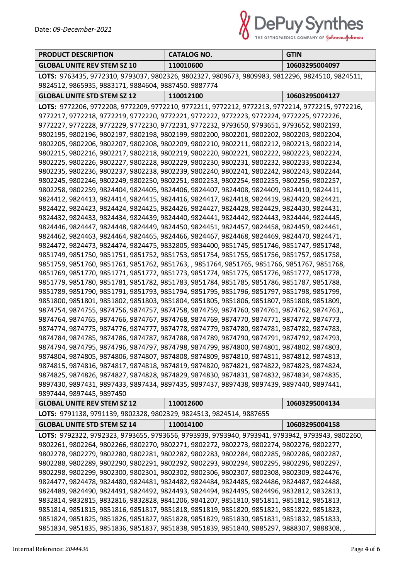

| <b>PRODUCT DESCRIPTION</b>                                                                                                                                                             | <b>CATALOG NO.</b> | <b>GTIN</b>    |
|----------------------------------------------------------------------------------------------------------------------------------------------------------------------------------------|--------------------|----------------|
| <b>GLOBAL UNITE REV STEM SZ 10</b>                                                                                                                                                     | 110010600          | 10603295004097 |
|                                                                                                                                                                                        |                    |                |
| LOTS: 9763435, 9772310, 9793037, 9802326, 9802327, 9809673, 9809983, 9812296, 9824510, 9824511,<br>9824512, 9865935, 9883171, 9884604, 9887450. 9887774                                |                    |                |
| <b>GLOBAL UNITE STD STEM SZ 12</b>                                                                                                                                                     | 110012100          | 10603295004127 |
| LOTS: 9772206, 9772208, 9772209, 9772210, 9772211, 9772212, 9772213, 9772214, 9772215, 9772216,                                                                                        |                    |                |
| 9772217, 9772218, 9772219, 9772220, 9772221, 9772222, 9772223, 9772224, 9772225, 9772226,                                                                                              |                    |                |
| 9772227, 9772228, 9772229, 9772230, 9772231, 9772232, 9793650, 9793651, 9793652, 9802193,                                                                                              |                    |                |
| 9802195, 9802196, 9802197, 9802198, 9802199, 9802200, 9802201, 9802202, 9802203, 9802204,                                                                                              |                    |                |
| 9802205, 9802206, 9802207, 9802208, 9802209, 9802210, 9802211, 9802212, 9802213, 9802214,                                                                                              |                    |                |
| 9802215, 9802216, 9802217, 9802218, 9802219, 9802220, 9802221, 9802222, 9802223, 9802224,                                                                                              |                    |                |
| 9802225, 9802226, 9802227, 9802228, 9802229, 9802230, 9802231, 9802232, 9802233, 9802234,                                                                                              |                    |                |
| 9802235, 9802236, 9802237, 9802238, 9802239, 9802240, 9802241, 9802242, 9802243, 9802244,                                                                                              |                    |                |
| 9802245, 9802246, 9802249, 9802250, 9802251, 9802253, 9802254, 9802255, 9802256, 9802257,                                                                                              |                    |                |
| 9802258, 9802259, 9824404, 9824405, 9824406, 9824407, 9824408, 9824409, 9824410, 9824411,                                                                                              |                    |                |
| 9824412, 9824413, 9824414, 9824415, 9824416, 9824417, 9824418, 9824419, 9824420, 9824421,                                                                                              |                    |                |
| 9824422, 9824423, 9824424, 9824425, 9824426, 9824427, 9824428, 9824429, 9824430, 9824431,                                                                                              |                    |                |
| 9824432, 9824433, 9824434, 9824439, 9824440, 9824441, 9824442, 9824443, 9824444, 9824445,                                                                                              |                    |                |
| 9824446, 9824447, 9824448, 9824449, 9824450, 9824451, 9824457, 9824458, 9824459, 9824461,                                                                                              |                    |                |
| 9824462, 9824463, 9824464, 9824465, 9824466, 9824467, 9824468, 9824469, 9824470, 9824471,                                                                                              |                    |                |
| 9824472, 9824473, 9824474, 9824475, 9832805, 9834400, 9851745, 9851746, 9851747, 9851748,                                                                                              |                    |                |
| 9851749, 9851750, 9851751, 9851752, 9851753, 9851754, 9851755, 9851756, 9851757, 9851758,                                                                                              |                    |                |
| 9851759, 9851760, 9851761, 9851762, 9851763, , 9851764, 9851765, 9851766, 9851767, 9851768,                                                                                            |                    |                |
| 9851769, 9851770, 9851771, 9851772, 9851773, 9851774, 9851775, 9851776, 9851777, 9851778,                                                                                              |                    |                |
| 9851779, 9851780, 9851781, 9851782, 9851783, 9851784, 9851785, 9851786, 9851787, 9851788,                                                                                              |                    |                |
| 9851789, 9851790, 9851791, 9851793, 9851794, 9851795, 9851796, 9851797, 9851798, 9851799,                                                                                              |                    |                |
| 9851800, 9851801, 9851802, 9851803, 9851804, 9851805, 9851806, 9851807, 9851808, 9851809,                                                                                              |                    |                |
| 9874754, 9874755, 9874756, 9874757, 9874758, 9874759, 9874760, 9874761, 9874762, 9874763,,                                                                                             |                    |                |
| 9874764, 9874765, 9874766, 9874767, 9874768, 9874769, 9874770, 9874771, 9874772, 9874773,                                                                                              |                    |                |
| 9874774, 9874775, 9874776, 9874777, 9874778, 9874779, 9874780, 9874781, 9874782, 9874783,                                                                                              |                    |                |
| 9874784, 9874785, 9874786, 9874787, 9874788, 9874789, 9874790, 9874791, 9874792, 9874793,                                                                                              |                    |                |
| 9874794, 9874795, 9874796, 9874797, 9874798, 9874799, 9874800, 9874801, 9874802, 9874803,                                                                                              |                    |                |
| 9874804, 9874805, 9874806, 9874807, 9874808, 9874809, 9874810, 9874811, 9874812, 9874813,                                                                                              |                    |                |
| 9874815, 9874816, 9874817, 9874818, 9874819, 9874820, 9874821, 9874822, 9874823, 9874824,                                                                                              |                    |                |
| 9874825, 9874826, 9874827, 9874828, 9874829, 9874830, 9874831, 9874832, 9874834, 9874835,                                                                                              |                    |                |
| 9897430, 9897431, 9897433, 9897434, 9897435, 9897437, 9897438, 9897439, 9897440, 9897441,                                                                                              |                    |                |
| 9897444, 9897445, 9897450                                                                                                                                                              |                    |                |
| <b>GLOBAL UNITE REV STEM SZ 12</b>                                                                                                                                                     | 110012600          | 10603295004134 |
| LOTS: 9791138, 9791139, 9802328, 9802329, 9824513, 9824514, 9887655<br><b>GLOBAL UNITE STD STEM SZ 14</b>                                                                              | 110014100          | 10603295004158 |
| LOTS: 9792322, 9792323, 9793655, 9793656, 9793939, 9793940, 9793941, 9793942, 9793943, 9802260,                                                                                        |                    |                |
| 9802261, 9802264, 9802266, 9802270, 9802271, 9802272, 9802273, 9802274, 9802276, 9802277,                                                                                              |                    |                |
| 9802278, 9802279, 9802280, 9802281, 9802282, 9802283, 9802284, 9802285, 9802286, 9802287,                                                                                              |                    |                |
|                                                                                                                                                                                        |                    |                |
| 9802288, 9802289, 9802290, 9802291, 9802292, 9802293, 9802294, 9802295, 9802296, 9802297,                                                                                              |                    |                |
| 9802298, 9802299, 9802300, 9802301, 9802302, 9802306, 9802307, 9802308, 9802309, 9824476,<br>9824477, 9824478, 9824480, 9824481, 9824482, 9824484, 9824485, 9824486, 9824487, 9824488, |                    |                |
|                                                                                                                                                                                        |                    |                |
| 9824489, 9824490, 9824491, 9824492, 9824493, 9824494, 9824495, 9824496, 9832812, 9832813,                                                                                              |                    |                |
| 9832814, 9832815, 9832816, 9832828, 9841206, 9841207, 9851810, 9851811, 9851812, 9851813,                                                                                              |                    |                |
| 9851814, 9851815, 9851816, 9851817, 9851818, 9851819, 9851820, 9851821, 9851822, 9851823,                                                                                              |                    |                |
| 9851824, 9851825, 9851826, 9851827, 9851828, 9851829, 9851830, 9851831, 9851832, 9851833,                                                                                              |                    |                |
| 9851834, 9851835, 9851836, 9851837, 9851838, 9851839, 9851840, 9885297, 9888307, 9888308, ,                                                                                            |                    |                |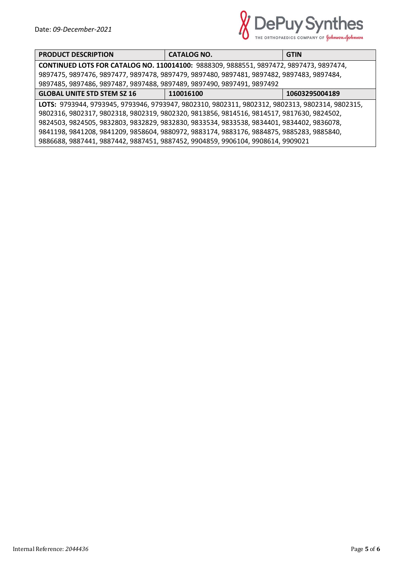

| <b>PRODUCT DESCRIPTION</b>                                                                      | <b>CATALOG NO.</b> | <b>GTIN</b>    |
|-------------------------------------------------------------------------------------------------|--------------------|----------------|
| CONTINUED LOTS FOR CATALOG NO. 110014100: 9888309, 9888551, 9897472, 9897473, 9897474,          |                    |                |
| 9897475, 9897476, 9897477, 9897478, 9897479, 9897480, 9897481, 9897482, 9897483, 9897484,       |                    |                |
| 9897485, 9897486, 9897487, 9897488, 9897489, 9897490, 9897491, 9897492                          |                    |                |
| <b>GLOBAL UNITE STD STEM SZ 16</b>                                                              | 110016100          | 10603295004189 |
| LOTS: 9793944, 9793945, 9793946, 9793947, 9802310, 9802311, 9802312, 9802313, 9802314, 9802315, |                    |                |
| 9802316, 9802317, 9802318, 9802319, 9802320, 9813856, 9814516, 9814517, 9817630, 9824502,       |                    |                |
| 9824503, 9824505, 9832803, 9832829, 9832830, 9833534, 9833538, 9834401, 9834402, 9836078,       |                    |                |
| 9841198, 9841208, 9841209, 9858604, 9880972, 9883174, 9883176, 9884875, 9885283, 9885840,       |                    |                |
| 9886688, 9887441, 9887442, 9887451, 9887452, 9904859, 9906104, 9908614, 9909021                 |                    |                |